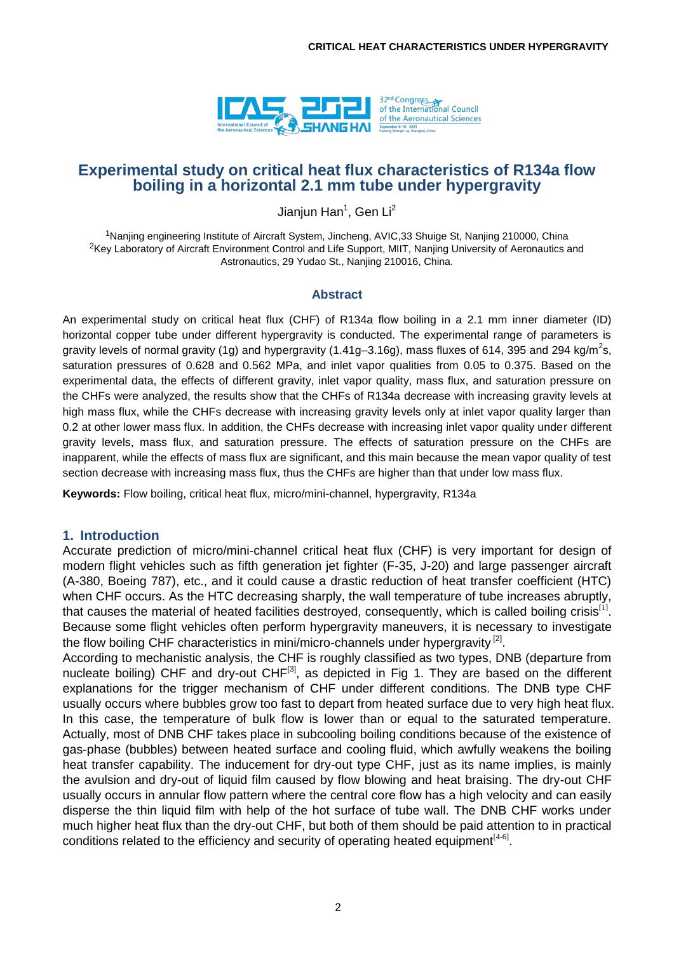

# **Experimental study on critical heat flux characteristics of R134a flow boiling in a horizontal 2.1 mm tube under hypergravity**

Jianjun Han<sup>1</sup>, Gen Li<sup>2</sup>

<sup>1</sup>Nanjing engineering Institute of Aircraft System, Jincheng, AVIC,33 Shuige St, Nanjing 210000, China <sup>2</sup>Key Laboratory of Aircraft Environment Control and Life Support, MIIT, Nanjing University of Aeronautics and Astronautics, 29 Yudao St., Nanjing 210016, China.

#### **Abstract**

An experimental study on critical heat flux (CHF) of R134a flow boiling in a 2.1 mm inner diameter (ID) horizontal copper tube under different hypergravity is conducted. The experimental range of parameters is gravity levels of normal gravity (1g) and hypergravity (1.41g–3.16g), mass fluxes of 614, 395 and 294 kg/m<sup>2</sup>s, saturation pressures of 0.628 and 0.562 MPa, and inlet vapor qualities from 0.05 to 0.375. Based on the experimental data, the effects of different gravity, inlet vapor quality, mass flux, and saturation pressure on the CHFs were analyzed, the results show that the CHFs of R134a decrease with increasing gravity levels at high mass flux, while the CHFs decrease with increasing gravity levels only at inlet vapor quality larger than 0.2 at other lower mass flux. In addition, the CHFs decrease with increasing inlet vapor quality under different gravity levels, mass flux, and saturation pressure. The effects of saturation pressure on the CHFs are inapparent, while the effects of mass flux are significant, and this main because the mean vapor quality of test section decrease with increasing mass flux, thus the CHFs are higher than that under low mass flux.

**Keywords:** Flow boiling, critical heat flux, micro/mini-channel, hypergravity, R134a

## **1. Introduction**

Accurate prediction of micro/mini-channel critical heat flux (CHF) is very important for design of modern flight vehicles such as fifth generation jet fighter (F-35, J-20) and large passenger aircraft (A-380, Boeing 787), etc., and it could cause a drastic reduction of heat transfer coefficient (HTC) when CHF occurs. As the HTC decreasing sharply, the wall temperature of tube increases abruptly, that causes the material of heated facilities destroyed, consequently, which is called boiling crisis<sup>[1]</sup>. Because some flight vehicles often perform hypergravity maneuvers, it is necessary to investigate the flow boiling CHF characteristics in mini/micro-channels under hypergravity<sup>[2]</sup>.

According to mechanistic analysis, the CHF is roughly classified as two types, DNB (departure from nucleate boiling) CHF and dry-out CHF<sup>[3]</sup>, as depicted in Fig 1. They are based on the different explanations for the trigger mechanism of CHF under different conditions. The DNB type CHF usually occurs where bubbles grow too fast to depart from heated surface due to very high heat flux. In this case, the temperature of bulk flow is lower than or equal to the saturated temperature. Actually, most of DNB CHF takes place in subcooling boiling conditions because of the existence of gas-phase (bubbles) between heated surface and cooling fluid, which awfully weakens the boiling heat transfer capability. The inducement for dry-out type CHF, just as its name implies, is mainly the avulsion and dry-out of liquid film caused by flow blowing and heat braising. The dry-out CHF usually occurs in annular flow pattern where the central core flow has a high velocity and can easily disperse the thin liquid film with help of the hot surface of tube wall. The DNB CHF works under much higher heat flux than the dry-out CHF, but both of them should be paid attention to in practical conditions related to the efficiency and security of operating heated equipment $[4-6]$ .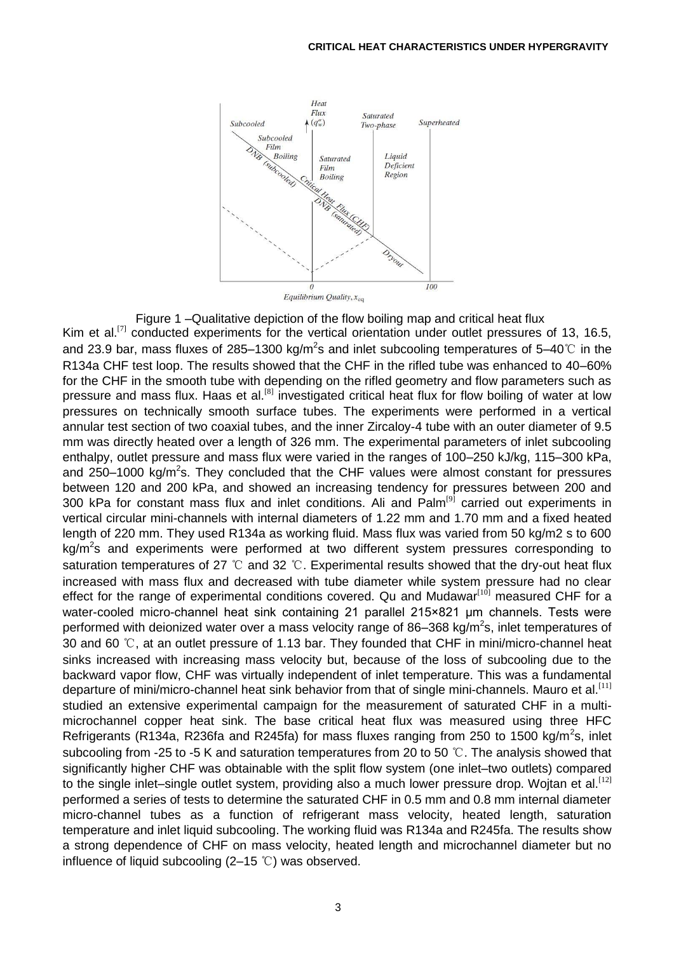

Figure 1 –Qualitative depiction of the flow boiling map and critical heat flux Kim et al.<sup>[7]</sup> conducted experiments for the vertical orientation under outlet pressures of 13, 16.5, and 23.9 bar, mass fluxes of 285–1300 kg/m<sup>2</sup>s and inlet subcooling temperatures of 5–40℃ in the R134a CHF test loop. The results showed that the CHF in the rifled tube was enhanced to 40–60% for the CHF in the smooth tube with depending on the rifled geometry and flow parameters such as pressure and mass flux. Haas et al.<sup>[8]</sup> investigated critical heat flux for flow boiling of water at low pressures on technically smooth surface tubes. The experiments were performed in a vertical annular test section of two coaxial tubes, and the inner Zircaloy-4 tube with an outer diameter of 9.5 mm was directly heated over a length of 326 mm. The experimental parameters of inlet subcooling enthalpy, outlet pressure and mass flux were varied in the ranges of 100–250 kJ/kg, 115–300 kPa, and 250–1000 kg/m<sup>2</sup>s. They concluded that the CHF values were almost constant for pressures between 120 and 200 kPa, and showed an increasing tendency for pressures between 200 and 300 kPa for constant mass flux and inlet conditions. Ali and Palm<sup>[9]</sup> carried out experiments in vertical circular mini-channels with internal diameters of 1.22 mm and 1.70 mm and a fixed heated length of 220 mm. They used R134a as working fluid. Mass flux was varied from 50 kg/m2 s to 600 kg/m<sup>2</sup>s and experiments were performed at two different system pressures corresponding to saturation temperatures of 27 ℃ and 32 ℃. Experimental results showed that the dry-out heat flux increased with mass flux and decreased with tube diameter while system pressure had no clear effect for the range of experimental conditions covered. Qu and Mudawar $[10]$  measured CHF for a water-cooled micro-channel heat sink containing 21 parallel 215×821 μm channels. Tests were performed with deionized water over a mass velocity range of 86–368 kg/m<sup>2</sup>s, inlet temperatures of 30 and 60 ℃, at an outlet pressure of 1.13 bar. They founded that CHF in mini/micro-channel heat sinks increased with increasing mass velocity but, because of the loss of subcooling due to the backward vapor flow, CHF was virtually independent of inlet temperature. This was a fundamental departure of mini/micro-channel heat sink behavior from that of single mini-channels. Mauro et al.<sup>[11]</sup> studied an extensive experimental campaign for the measurement of saturated CHF in a multimicrochannel copper heat sink. The base critical heat flux was measured using three HFC Refrigerants (R134a, R236fa and R245fa) for mass fluxes ranging from 250 to 1500 kg/m<sup>2</sup>s, inlet subcooling from -25 to -5 K and saturation temperatures from 20 to 50  $\degree$ C. The analysis showed that significantly higher CHF was obtainable with the split flow system (one inlet–two outlets) compared to the single inlet–single outlet system, providing also a much lower pressure drop. Wojtan et al.<sup>[12]</sup> performed a series of tests to determine the saturated CHF in 0.5 mm and 0.8 mm internal diameter micro-channel tubes as a function of refrigerant mass velocity, heated length, saturation temperature and inlet liquid subcooling. The working fluid was R134a and R245fa. The results show a strong dependence of CHF on mass velocity, heated length and microchannel diameter but no influence of liquid subcooling  $(2-15 \degree C)$  was observed.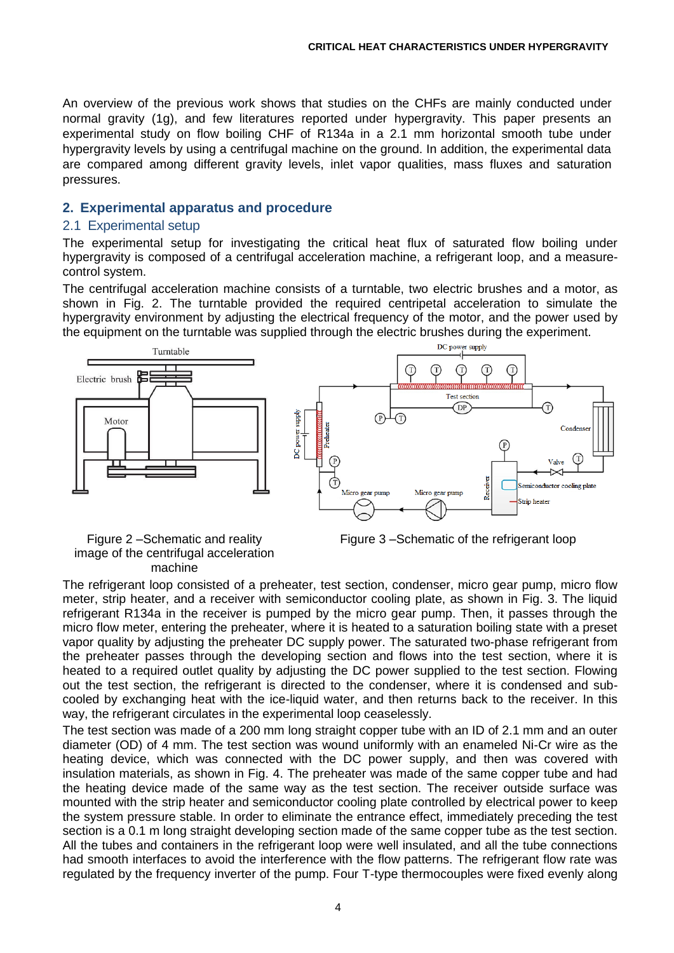An overview of the previous work shows that studies on the CHFs are mainly conducted under normal gravity (1g), and few literatures reported under hypergravity. This paper presents an experimental study on flow boiling CHF of R134a in a 2.1 mm horizontal smooth tube under hypergravity levels by using a centrifugal machine on the ground. In addition, the experimental data are compared among different gravity levels, inlet vapor qualities, mass fluxes and saturation pressures.

# **2. Experimental apparatus and procedure**

## 2.1 Experimental setup

The experimental setup for investigating the critical heat flux of saturated flow boiling under hypergravity is composed of a centrifugal acceleration machine, a refrigerant loop, and a measurecontrol system.

The centrifugal acceleration machine consists of a turntable, two electric brushes and a motor, as shown in Fig. 2. The turntable provided the required centripetal acceleration to simulate the hypergravity environment by adjusting the electrical frequency of the motor, and the power used by the equipment on the turntable was supplied through the electric brushes during the experiment.



Figure 2 –Schematic and reality image of the centrifugal acceleration machine

Figure 3 –Schematic of the refrigerant loop

The refrigerant loop consisted of a preheater, test section, condenser, micro gear pump, micro flow meter, strip heater, and a receiver with semiconductor cooling plate, as shown in Fig. 3. The liquid refrigerant R134a in the receiver is pumped by the micro gear pump. Then, it passes through the micro flow meter, entering the preheater, where it is heated to a saturation boiling state with a preset vapor quality by adjusting the preheater DC supply power. The saturated two-phase refrigerant from the preheater passes through the developing section and flows into the test section, where it is heated to a required outlet quality by adjusting the DC power supplied to the test section. Flowing out the test section, the refrigerant is directed to the condenser, where it is condensed and subcooled by exchanging heat with the ice-liquid water, and then returns back to the receiver. In this way, the refrigerant circulates in the experimental loop ceaselessly.

The test section was made of a 200 mm long straight copper tube with an ID of 2.1 mm and an outer diameter (OD) of 4 mm. The test section was wound uniformly with an enameled Ni-Cr wire as the heating device, which was connected with the DC power supply, and then was covered with insulation materials, as shown in Fig. 4. The preheater was made of the same copper tube and had the heating device made of the same way as the test section. The receiver outside surface was mounted with the strip heater and semiconductor cooling plate controlled by electrical power to keep the system pressure stable. In order to eliminate the entrance effect, immediately preceding the test section is a 0.1 m long straight developing section made of the same copper tube as the test section. All the tubes and containers in the refrigerant loop were well insulated, and all the tube connections had smooth interfaces to avoid the interference with the flow patterns. The refrigerant flow rate was regulated by the frequency inverter of the pump. Four T-type thermocouples were fixed evenly along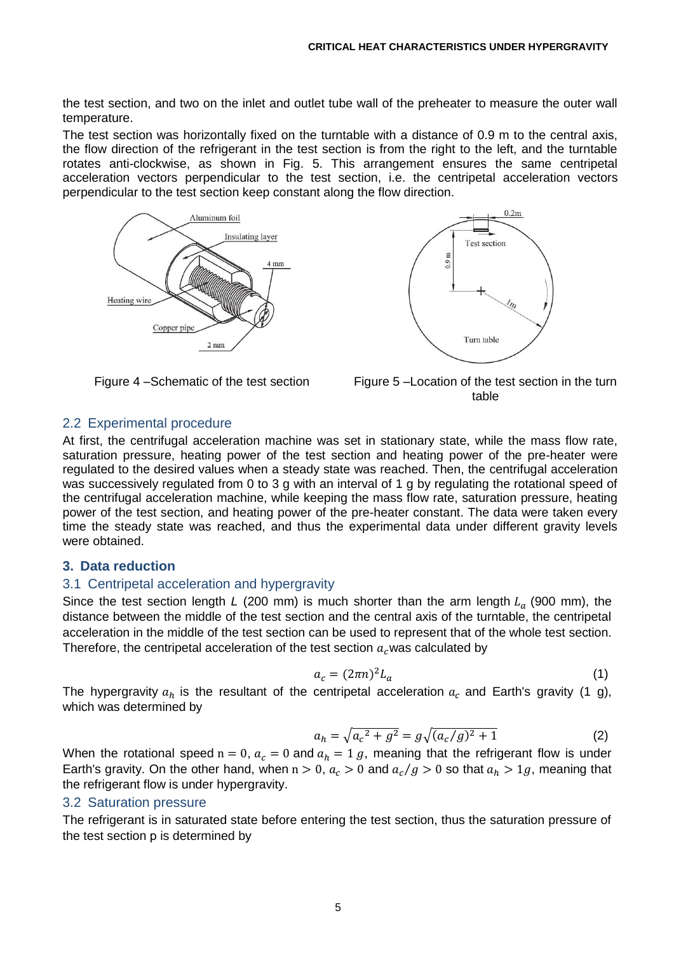the test section, and two on the inlet and outlet tube wall of the preheater to measure the outer wall temperature.

The test section was horizontally fixed on the turntable with a distance of 0.9 m to the central axis, the flow direction of the refrigerant in the test section is from the right to the left, and the turntable rotates anti-clockwise, as shown in Fig. 5. This arrangement ensures the same centripetal acceleration vectors perpendicular to the test section, i.e. the centripetal acceleration vectors perpendicular to the test section keep constant along the flow direction.







Figure 4 –Schematic of the test section Figure 5 –Location of the test section in the turn table

# 2.2 Experimental procedure

At first, the centrifugal acceleration machine was set in stationary state, while the mass flow rate, saturation pressure, heating power of the test section and heating power of the pre-heater were regulated to the desired values when a steady state was reached. Then, the centrifugal acceleration was successively regulated from 0 to 3 g with an interval of 1 g by regulating the rotational speed of the centrifugal acceleration machine, while keeping the mass flow rate, saturation pressure, heating power of the test section, and heating power of the pre-heater constant. The data were taken every time the steady state was reached, and thus the experimental data under different gravity levels were obtained.

## **3. Data reduction**

## 3.1 Centripetal acceleration and hypergravity

Since the test section length *L* (200 mm) is much shorter than the arm length  $L_a$  (900 mm), the distance between the middle of the test section and the central axis of the turntable, the centripetal acceleration in the middle of the test section can be used to represent that of the whole test section. Therefore, the centripetal acceleration of the test section  $a<sub>c</sub>$  was calculated by

$$
a_c = (2\pi n)^2 L_a \tag{1}
$$

The hypergravity  $a_h$  is the resultant of the centripetal acceleration  $a_c$  and Earth's gravity (1 g), which was determined by

$$
a_h = \sqrt{a_c^2 + g^2} = g\sqrt{(a_c/g)^2 + 1} \tag{2}
$$

When the rotational speed  $n = 0$ ,  $a_c = 0$  and  $a_h = 1$  g, meaning that the refrigerant flow is under Earth's gravity. On the other hand, when  $n > 0$ ,  $a_c > 0$  and  $a_c/g > 0$  so that  $a_h > 1g$ , meaning that the refrigerant flow is under hypergravity.

## 3.2 Saturation pressure

The refrigerant is in saturated state before entering the test section, thus the saturation pressure of the test section p is determined by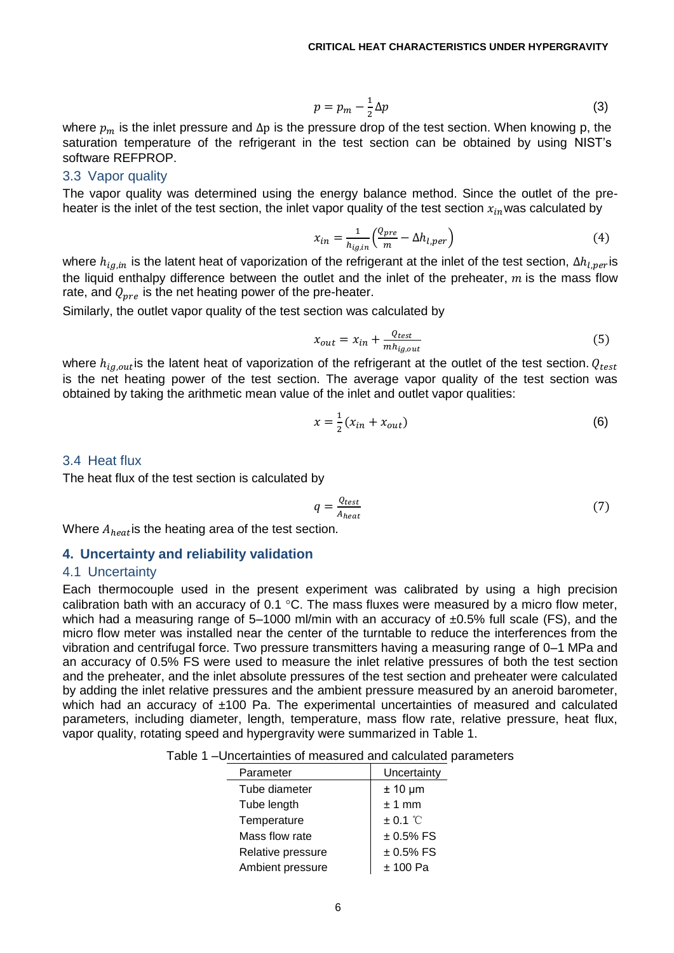$$
p = p_m - \frac{1}{2}\Delta p \tag{3}
$$

where  $p_m$  is the inlet pressure and  $\Delta p$  is the pressure drop of the test section. When knowing p, the saturation temperature of the refrigerant in the test section can be obtained by using NIST's software REFPROP.

#### 3.3 Vapor quality

The vapor quality was determined using the energy balance method. Since the outlet of the preheater is the inlet of the test section, the inlet vapor quality of the test section  $x_{in}$  was calculated by

$$
x_{in} = \frac{1}{h_{ig,in}} \left( \frac{Q_{pre}}{m} - \Delta h_{l,per} \right) \tag{4}
$$

where  $h_{i q, in}$  is the latent heat of vaporization of the refrigerant at the inlet of the test section,  $\Delta h_{l,per}$ is the liquid enthalpy difference between the outlet and the inlet of the preheater,  $m$  is the mass flow rate, and  $Q_{\text{pre}}$  is the net heating power of the pre-heater.

Similarly, the outlet vapor quality of the test section was calculated by

$$
x_{out} = x_{in} + \frac{Q_{test}}{mh_{ig,out}}
$$
 (5)

where  $h_{iq,out}$  is the latent heat of vaporization of the refrigerant at the outlet of the test section.  $Q_{test}$ is the net heating power of the test section. The average vapor quality of the test section was obtained by taking the arithmetic mean value of the inlet and outlet vapor qualities:

$$
x = \frac{1}{2}(x_{in} + x_{out})
$$
 (6)

#### 3.4 Heat flux

The heat flux of the test section is calculated by

$$
q = \frac{Q_{test}}{A_{heat}}\tag{7}
$$

Where  $A_{heat}$  is the heating area of the test section.

# **4. Uncertainty and reliability validation**

#### 4.1 Uncertainty

Each thermocouple used in the present experiment was calibrated by using a high precision calibration bath with an accuracy of 0.1  $\degree$ C. The mass fluxes were measured by a micro flow meter, which had a measuring range of  $5-1000$  ml/min with an accuracy of  $\pm 0.5\%$  full scale (FS), and the micro flow meter was installed near the center of the turntable to reduce the interferences from the vibration and centrifugal force. Two pressure transmitters having a measuring range of 0–1 MPa and an accuracy of 0.5% FS were used to measure the inlet relative pressures of both the test section and the preheater, and the inlet absolute pressures of the test section and preheater were calculated by adding the inlet relative pressures and the ambient pressure measured by an aneroid barometer, which had an accuracy of  $\pm 100$  Pa. The experimental uncertainties of measured and calculated parameters, including diameter, length, temperature, mass flow rate, relative pressure, heat flux, vapor quality, rotating speed and hypergravity were summarized in Table 1.

|  | Table 1 –Uncertainties of measured and calculated parameters |  |
|--|--------------------------------------------------------------|--|
|  |                                                              |  |

| Parameter         | Uncertainty  |
|-------------------|--------------|
| Tube diameter     | $± 10 \mu m$ |
| Tube length       | $± 1$ mm     |
| Temperature       | $\pm$ 0.1 °C |
| Mass flow rate    | $± 0.5%$ FS  |
| Relative pressure | $± 0.5\%$ FS |
| Ambient pressure  | $± 100$ Pa   |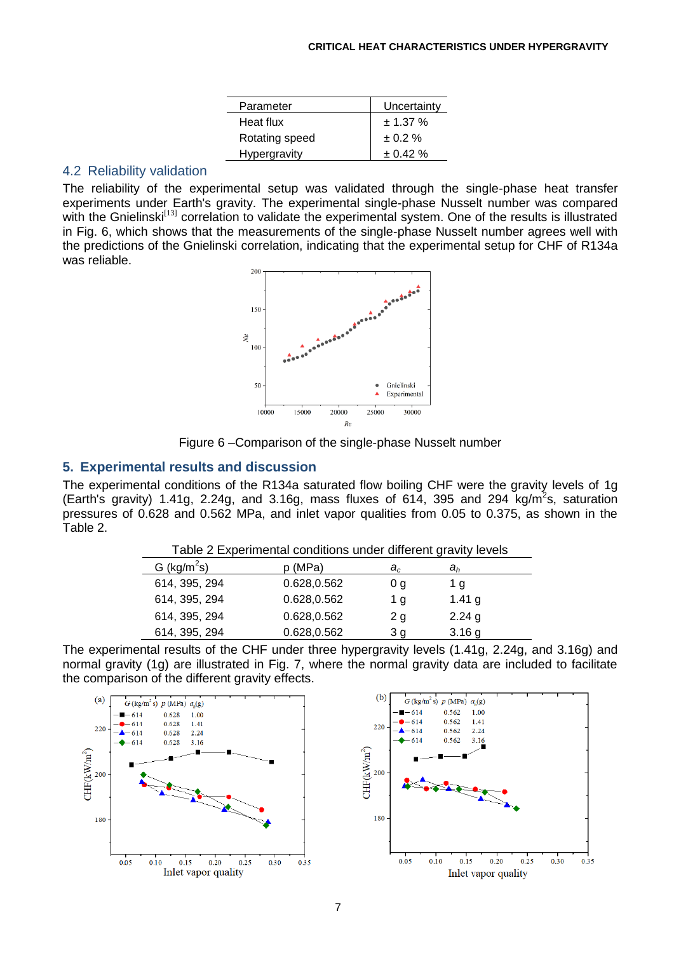| Uncertainty   |
|---------------|
| $\pm$ 1.37 %  |
| $\pm 0.2 \%$  |
| $\pm 0.42 \%$ |
|               |

#### 4.2 Reliability validation

The reliability of the experimental setup was validated through the single-phase heat transfer experiments under Earth's gravity. The experimental single-phase Nusselt number was compared with the Gnielinski<sup>[13]</sup> correlation to validate the experimental system. One of the results is illustrated in Fig. 6, which shows that the measurements of the single-phase Nusselt number agrees well with the predictions of the Gnielinski correlation, indicating that the experimental setup for CHF of R134a was reliable.





# **5. Experimental results and discussion**

The experimental conditions of the R134a saturated flow boiling CHF were the gravity levels of 1g (Earth's gravity) 1.41g, 2.24g, and 3.16g, mass fluxes of 614, 395 and 294 kg/m<sup>2</sup>s, saturation pressures of 0.628 and 0.562 MPa, and inlet vapor qualities from 0.05 to 0.375, as shown in the Table 2.

Table 2 Experimental conditions under different gravity levels

| rable 2 Experimental conditions under unierent gravity levels |             |       |                   |  |
|---------------------------------------------------------------|-------------|-------|-------------------|--|
| $G$ (kg/m <sup>2</sup> s)                                     | p (MPa)     | $a_c$ | $a_h$             |  |
| 614, 395, 294                                                 | 0.628,0.562 | 0 g   | 1 g               |  |
| 614, 395, 294                                                 | 0.628,0.562 | 1 g   | 1.41 $g$          |  |
| 614, 395, 294                                                 | 0.628,0.562 | 2g    | $2.24$ g          |  |
| 614, 395, 294                                                 | 0.628,0.562 | 3 a   | 3.16 <sub>g</sub> |  |

| The experimental results of the CHF under three hypergravity levels (1.41g, 2.24g, and 3.16g) and       |
|---------------------------------------------------------------------------------------------------------|
| normal gravity (1g) are illustrated in Fig. 7, where the normal gravity data are included to facilitate |
| the comparison of the different gravity effects.                                                        |



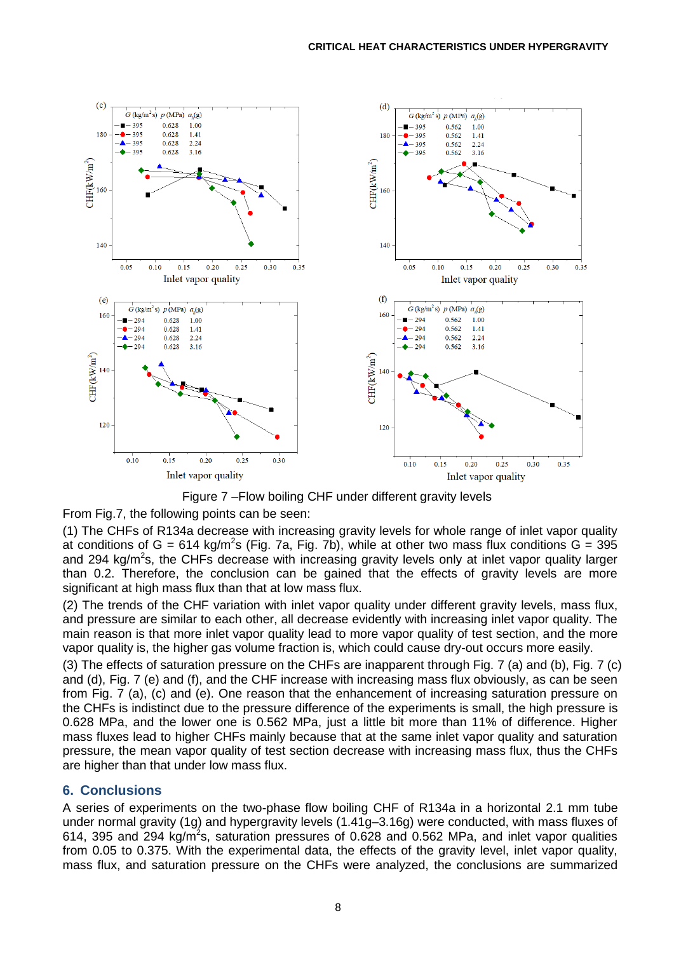



#### From Fig.7, the following points can be seen:

(1) The CHFs of R134a decrease with increasing gravity levels for whole range of inlet vapor quality at conditions of G = 614 kg/m<sup>2</sup>s (Fig. 7a, Fig. 7b), while at other two mass flux conditions G = 395 and 294 kg/m<sup>2</sup>s, the CHFs decrease with increasing gravity levels only at inlet vapor quality larger than 0.2. Therefore, the conclusion can be gained that the effects of gravity levels are more significant at high mass flux than that at low mass flux.

(2) The trends of the CHF variation with inlet vapor quality under different gravity levels, mass flux, and pressure are similar to each other, all decrease evidently with increasing inlet vapor quality. The main reason is that more inlet vapor quality lead to more vapor quality of test section, and the more vapor quality is, the higher gas volume fraction is, which could cause dry-out occurs more easily.

(3) The effects of saturation pressure on the CHFs are inapparent through Fig. 7 (a) and (b), Fig. 7 (c) and (d), Fig. 7 (e) and (f), and the CHF increase with increasing mass flux obviously, as can be seen from Fig. 7 (a), (c) and (e). One reason that the enhancement of increasing saturation pressure on the CHFs is indistinct due to the pressure difference of the experiments is small, the high pressure is 0.628 MPa, and the lower one is 0.562 MPa, just a little bit more than 11% of difference. Higher mass fluxes lead to higher CHFs mainly because that at the same inlet vapor quality and saturation pressure, the mean vapor quality of test section decrease with increasing mass flux, thus the CHFs are higher than that under low mass flux.

## **6. Conclusions**

A series of experiments on the two-phase flow boiling CHF of R134a in a horizontal 2.1 mm tube under normal gravity (1g) and hypergravity levels (1.41g–3.16g) were conducted, with mass fluxes of 614, 395 and 294 kg/m<sup>2</sup>s, saturation pressures of 0.628 and 0.562 MPa, and inlet vapor qualities from 0.05 to 0.375. With the experimental data, the effects of the gravity level, inlet vapor quality, mass flux, and saturation pressure on the CHFs were analyzed, the conclusions are summarized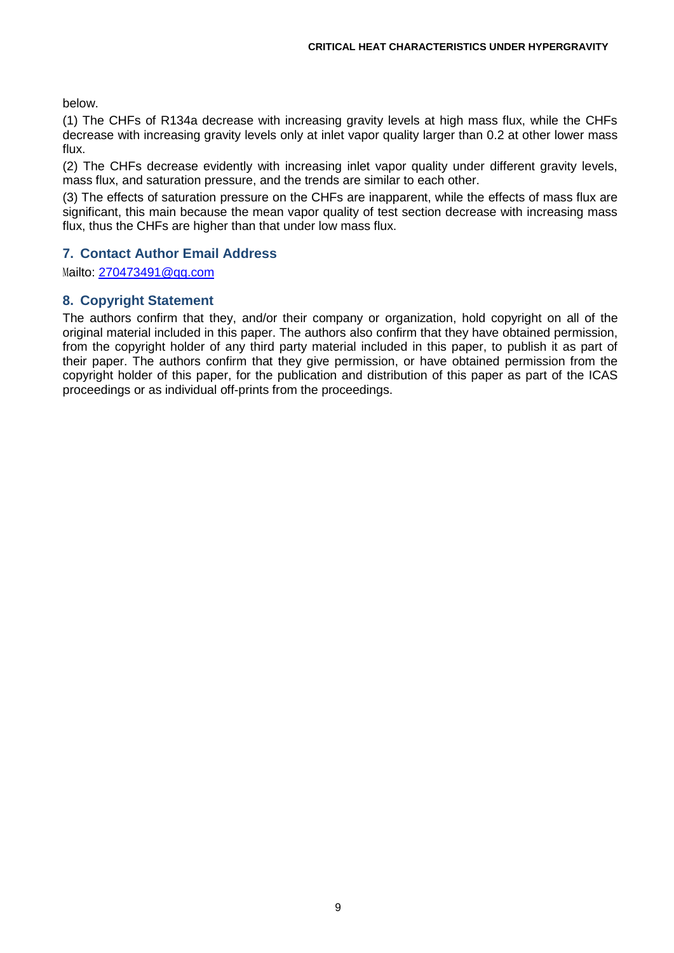below.

(1) The CHFs of R134a decrease with increasing gravity levels at high mass flux, while the CHFs decrease with increasing gravity levels only at inlet vapor quality larger than 0.2 at other lower mass flux.

(2) The CHFs decrease evidently with increasing inlet vapor quality under different gravity levels, mass flux, and saturation pressure, and the trends are similar to each other.

(3) The effects of saturation pressure on the CHFs are inapparent, while the effects of mass flux are significant, this main because the mean vapor quality of test section decrease with increasing mass flux, thus the CHFs are higher than that under low mass flux.

# **7. Contact Author Email Address**

Mailto: [270473491@qq.com](mailto:270473491@qq.com)

# **8. Copyright Statement**

The authors confirm that they, and/or their company or organization, hold copyright on all of the original material included in this paper. The authors also confirm that they have obtained permission, from the copyright holder of any third party material included in this paper, to publish it as part of their paper. The authors confirm that they give permission, or have obtained permission from the copyright holder of this paper, for the publication and distribution of this paper as part of the ICAS proceedings or as individual off-prints from the proceedings.